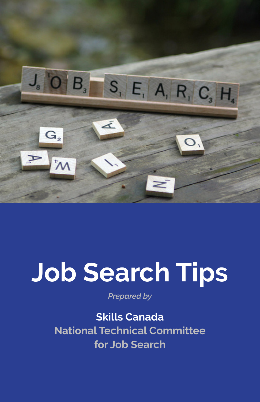

# **Job Search Tips**

*Prepared by*

### **Skills Canada**

**National Technical Committee for Job Search**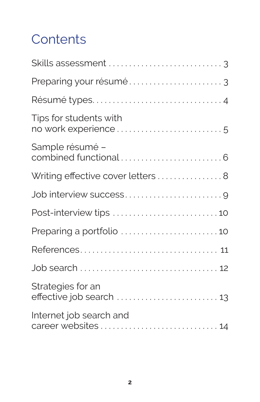# **Contents**

| Résumé types4                                  |
|------------------------------------------------|
| Tips for students with<br>no work experience 5 |
| Sample résumé –                                |
| Writing effective cover letters  8             |
|                                                |
|                                                |
| Preparing a portfolio 10                       |
|                                                |
|                                                |
| Strategies for an<br>effective job search  13  |
| Internet job search and                        |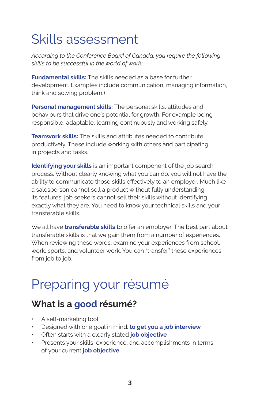# Skills assessment

*According to the Conference Board of Canada, you require the following skills to be successful in the world of work:*

**Fundamental skills:** The skills needed as a base for further development. Examples include communication, managing information, think and solving problem.)

**Personal management skills:** The personal skills, attitudes and behaviours that drive one's potential for growth. For example being responsible, adaptable, learning continuously and working safely.

**Teamwork skills:** The skills and attributes needed to contribute productively. These include working with others and participating in projects and tasks.

**Identifying your skills** is an important component of the job search process. Without clearly knowing what you can do, you will not have the ability to communicate those skills effectively to an employer. Much like a salesperson cannot sell a product without fully understanding its features, job seekers cannot sell their skills without identifying exactly what they are. You need to know your technical skills and your transferable skills.

We all have **transferable skills** to offer an employer. The best part about transferable skills is that we gain them from a number of experiences. When reviewing these words, examine your experiences from school, work, sports, and volunteer work. You can "transfer" these experiences from job to job.

# Preparing your résumé

### **What is a good résumé?**

- A self-marketing tool
- Designed with one goal in mind: **to get you a job interview**
- Often starts with a clearly stated **job objective**
- Presents your skills, experience, and accomplishments in terms of your current **job objective**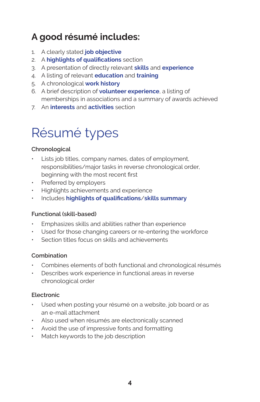### **A good résumé includes:**

- 1. A clearly stated **job objective**
- 2. A **highlights of qualifications** section
- 3. A presentation of directly relevant **skills** and **experience**
- 4. A listing of relevant **education** and **training**
- 5. A chronological **work history**
- 6. A brief description of **volunteer experience**, a listing of memberships in associations and a summary of awards achieved
- 7. An **interests** and **activities** section

# Résumé types

#### **Chronological**

- Lists job titles, company names, dates of employment, responsibilities/major tasks in reverse chronological order, beginning with the most recent first
- Preferred by employers
- Highlights achievements and experience
- Includes **highlights of qualifications**/**skills summary**

#### **Functional (skill-based)**

- Emphasizes skills and abilities rather than experience
- Used for those changing careers or re-entering the workforce
- Section titles focus on skills and achievements

#### **Combination**

- Combines elements of both functional and chronological résumés
- Describes work experience in functional areas in reverse chronological order

#### **Electronic**

- Used when posting your résumé on a website, job board or as an e-mail attachment
- Also used when résumés are electronically scanned
- Avoid the use of impressive fonts and formatting
- Match keywords to the job description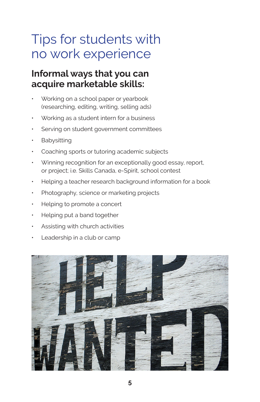# Tips for students with no work experience

### **Informal ways that you can acquire marketable skills:**

- Working on a school paper or yearbook (researching, editing, writing, selling ads)
- Working as a student intern for a business
- Serving on student government committees
- Babysitting
- Coaching sports or tutoring academic subjects
- Winning recognition for an exceptionally good essay, report, or project; i.e. Skills Canada, e-Spirit, school contest
- Helping a teacher research background information for a book
- Photography, science or marketing projects
- Helping to promote a concert
- Helping put a band together
- Assisting with church activities
- Leadership in a club or camp

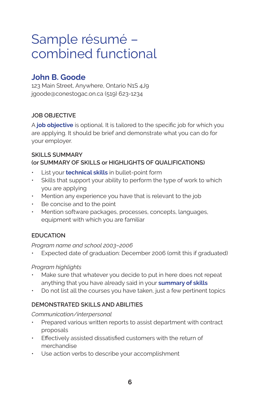# Sample résumé – combined functional

### **John B. Goode**

123 Main Street, Anywhere, Ontario N1S 4J9 jgoode@conestogac.on.ca (519) 623-1234

### **JOB OBJECTIVE**

A **job objective** is optional. It is tailored to the specific job for which you are applying. It should be brief and demonstrate what you can do for your employer.

### **SKILLS SUMMARY (or SUMMARY OF SKILLS or HIGHLIGHTS OF QUALIFICATIONS)**

- List your **technical skills** in bullet-point form
- Skills that support your ability to perform the type of work to which you are applying
- Mention any experience you have that is relevant to the job
- Be concise and to the point
- Mention software packages, processes, concepts, languages, equipment with which you are familiar

### **EDUCATION**

### *Program name and school 2003–2006*

Expected date of graduation: December 2006 (omit this if graduated)

### *Program highlights*

- Make sure that whatever you decide to put in here does not repeat anything that you have already said in your **summary of skills**
- Do not list all the courses you have taken, just a few pertinent topics

### **DEMONSTRATED SKILLS AND ABILITIES**

#### *Communication/interpersonal*

- Prepared various written reports to assist department with contract proposals
- Effectively assisted dissatisfied customers with the return of merchandise
- Use action verbs to describe your accomplishment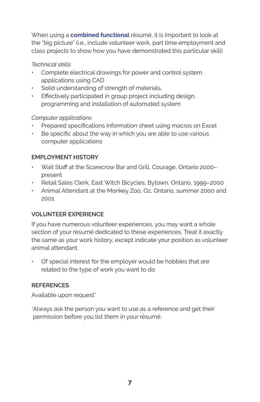When using a **combined functional** résumé, it is important to look at the "big picture" (i.e., include volunteer work, part time employment and class projects to show how you have demonstrated this particular skill)

### *Technical skills*

- Complete electrical drawings for power and control system applications using CAD
- Solid understanding of strength of materials,
- Effectively participated in group project including design, programming and installation of automated system

#### *Computer applications*

- Prepared specifications information sheet using macros on Excel
- Be specific about the way in which you are able to use various computer applications

### **EMPLOYMENT HISTORY**

- Wait Staff at the Scarecrow Bar and Grill, Courage, Ontario 2000– present
- Retail Sales Clerk, East Witch Bicycles, Bytown, Ontario, 1999–2000
- Animal Attendant at the Monkey Zoo, Oz, Ontario, summer 2000 and 2001

### **VOLUNTEER EXPERIENCE**

If you have numerous volunteer experiences, you may want a whole section of your résumé dedicated to these experiences. Treat it exactly the same as your work history, except indicate your position as volunteer animal attendant.

• Of special interest for the employer would be hobbies that are related to the type of work you want to do

### **REFERENCES**

Available upon request\*

\*Always ask the person you want to use as a reference and get their permission before you list them in your résumé.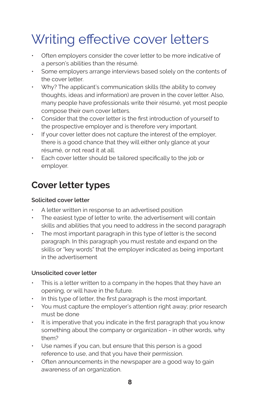# Writing effective cover letters

- Often employers consider the cover letter to be more indicative of a person's abilities than the résumé.
- Some employers arrange interviews based solely on the contents of the cover letter.
- Why? The applicant's communication skills (the ability to convey thoughts, ideas and information) are proven in the cover letter. Also, many people have professionals write their résumé, yet most people compose their own cover letters.
- Consider that the cover letter is the first introduction of yourself to the prospective employer and is therefore very important.
- If your cover letter does not capture the interest of the employer, there is a good chance that they will either only glance at your résumé, or not read it at all.
- Each cover letter should be tailored specifically to the job or employer.

### **Cover letter types**

### **Solicited cover letter**

- A letter written in response to an advertised position
- The easiest type of letter to write, the advertisement will contain skills and abilities that you need to address in the second paragraph
- The most important paragraph in this type of letter is the second paragraph. In this paragraph you must restate and expand on the skills or "key words" that the employer indicated as being important in the advertisement

### **Unsolicited cover letter**

- This is a letter written to a company in the hopes that they have an opening, or will have in the future.
- In this type of letter, the first paragraph is the most important.
- You must capture the employer's attention right away; prior research must be done
- It is imperative that you indicate in the first paragraph that you know something about the company or organization - in other words, why them?
- Use names if you can, but ensure that this person is a good reference to use, and that you have their permission.
- Often announcements in the newspaper are a good way to gain awareness of an organization.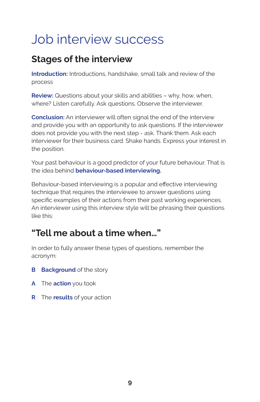# Job interview success

### **Stages of the interview**

**Introduction:** Introductions, handshake, small talk and review of the process

**Review:** Questions about your skills and abilities – why, how, when, where? Listen carefully. Ask questions. Observe the interviewer.

**Conclusion:** An interviewer will often signal the end of the interview and provide you with an opportunity to ask questions. If the interviewer does not provide you with the next step - ask. Thank them. Ask each interviewer for their business card. Shake hands. Express your interest in the position.

Your past behaviour is a good predictor of your future behaviour. That is the idea behind **behaviour-based interviewing.**

Behaviour-based interviewing is a popular and effective interviewing technique that requires the interviewee to answer questions using specific examples of their actions from their past working experiences. An interviewer using this interview style will be phrasing their questions like this:

### **"Tell me about a time when…"**

In order to fully answer these types of questions, remember the acronym:

- **B Background** of the story
- **A** The **action** you took
- **R** The **results** of your action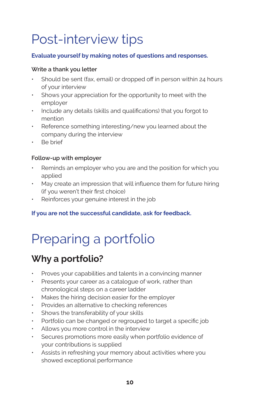# Post-interview tips

### **Evaluate yourself by making notes of questions and responses.**

#### **Write a thank you letter**

- Should be sent (fax, email) or dropped off in person within 24 hours of your interview
- Shows your appreciation for the opportunity to meet with the employer
- Include any details (skills and qualifications) that you forgot to mention
- Reference something interesting/new you learned about the company during the interview
- Be brief

#### **Follow-up with employer**

- Reminds an employer who you are and the position for which you applied
- May create an impression that will influence them for future hiring (if you weren't their first choice)
- Reinforces your genuine interest in the job

### **If you are not the successful candidate, ask for feedback.**

# Preparing a portfolio

### **Why a portfolio?**

- Proves your capabilities and talents in a convincing manner
- Presents your career as a catalogue of work, rather than chronological steps on a career ladder
- Makes the hiring decision easier for the employer
- Provides an alternative to checking references
- Shows the transferability of your skills
- Portfolio can be changed or regrouped to target a specific job
- Allows you more control in the interview
- Secures promotions more easily when portfolio evidence of your contributions is supplied
- Assists in refreshing your memory about activities where you showed exceptional performance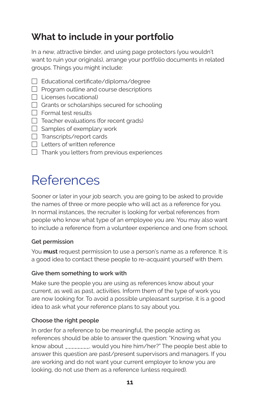## **What to include in your portfolio**

In a new, attractive binder, and using page protectors (you wouldn't want to ruin your originals), arrange your portfolio documents in related groups. Things you might include:

- $\Box$  Educational certificate/diploma/degree
- $\Box$  Program outline and course descriptions
- $\Box$  Licenses (vocational)
- $\Box$  Grants or scholarships secured for schooling
- $\Box$  Formal test results
- $\Box$  Teacher evaluations (for recent grads)
- $\Box$  Samples of exemplary work
- $\Box$  Transcripts/report cards
- $\Box$  Letters of written reference
- $\Box$  Thank you letters from previous experiences

# References

Sooner or later in your job search, you are going to be asked to provide the names of three or more people who will act as a reference for you. In normal instances, the recruiter is looking for verbal references from people who know what type of an employee you are. You may also want to include a reference from a volunteer experience and one from school.

#### **Get permission**

You **must** request permission to use a person's name as a reference. It is a good idea to contact these people to re-acquaint yourself with them.

#### **Give them something to work with**

Make sure the people you are using as references know about your current, as well as past, activities. Inform them of the type of work you are now looking for. To avoid a possible unpleasant surprise, it is a good idea to ask what your reference plans to say about you.

#### **Choose the right people**

In order for a reference to be meaningful, the people acting as references should be able to answer the question: "Knowing what you know about \_\_\_\_\_\_\_\_, would you hire him/her?" The people best able to answer this question are past/present supervisors and managers. If you are working and do not want your current employer to know you are looking, do not use them as a reference (unless required).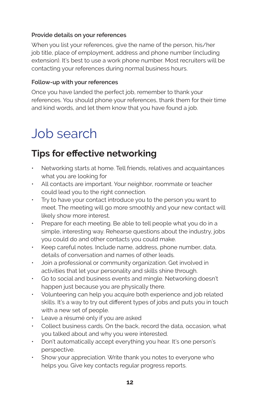### **Provide details on your references**

When you list your references, give the name of the person, his/her job title, place of employment, address and phone number (including extension). It's best to use a work phone number. Most recruiters will be contacting your references during normal business hours.

#### **Follow-up with your references**

Once you have landed the perfect job, remember to thank your references. You should phone your references, thank them for their time and kind words, and let them know that you have found a job.

# Job search

### **Tips for effective networking**

- Networking starts at home. Tell friends, relatives and acquaintances what you are looking for
- All contacts are important. Your neighbor, roommate or teacher could lead you to the right connection.
- Try to have your contact introduce you to the person you want to meet. The meeting will go more smoothly and your new contact will likely show more interest.
- Prepare for each meeting. Be able to tell people what you do in a simple, interesting way. Rehearse questions about the industry, jobs you could do and other contacts you could make.
- Keep careful notes. Include name, address, phone number, data, details of conversation and names of other leads.
- Join a professional or community organization. Get involved in activities that let your personality and skills shine through.
- Go to social and business events and mingle. Networking doesn't happen just because you are physically there.
- Volunteering can help you acquire both experience and job related skills. It's a way to try out different types of jobs and puts you in touch with a new set of people.
- Leave a résumé only if you are asked
- Collect business cards. On the back, record the data, occasion, what you talked about and why you were interested.
- Don't automatically accept everything you hear. It's one person's perspective.
- Show your appreciation. Write thank you notes to everyone who helps you. Give key contacts regular progress reports.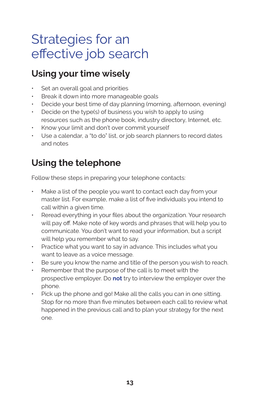# Strategies for an effective job search

### **Using your time wisely**

- Set an overall goal and priorities
- Break it down into more manageable goals
- Decide your best time of day planning (morning, afternoon, evening)
- Decide on the type(s) of business you wish to apply to using resources such as the phone book, industry directory, Internet, etc.
- Know your limit and don't over commit yourself
- Use a calendar, a "to do" list, or job search planners to record dates and notes

### **Using the telephone**

Follow these steps in preparing your telephone contacts:

- Make a list of the people you want to contact each day from your master list. For example, make a list of five individuals you intend to call within a given time.
- Reread everything in your files about the organization. Your research will pay off. Make note of key words and phrases that will help you to communicate. You don't want to read your information, but a script will help you remember what to say.
- Practice what you want to say in advance. This includes what you want to leave as a voice message.
- Be sure you know the name and title of the person you wish to reach.
- Remember that the purpose of the call is to meet with the prospective employer. Do **not** try to interview the employer over the phone.
- Pick up the phone and go! Make all the calls you can in one sitting. Stop for no more than five minutes between each call to review what happened in the previous call and to plan your strategy for the next one.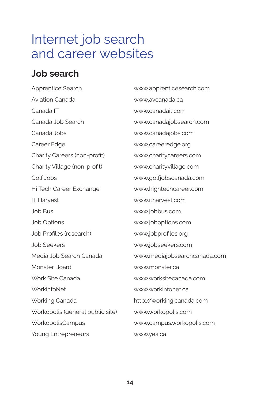# Internet job search and career websites

### **Job search**

Apprentice Search www.apprenticesearch.com Aviation Canada www.avcanada.ca Canada IT www.canadait.com Canada Job Search www.canadajobsearch.com Canada Jobs www.canadajobs.com Career Edge www.careeredge.org Charity Careers (non-profit) www.charitycareers.com Charity Village (non-profit) www.charityvillage.com Golf Jobs www.golfjobscanada.com Hi Tech Career Exchange www.hightechcareer.com IT Harvest www.itharvest.com Job Bus www.jobbus.com Job Options www.joboptions.com Job Profiles (research) www.jobprofiles.org Job Seekers www.jobseekers.com Media Job Search Canada www.mediajobsearchcanada.com Monster Board www.monster.ca Work Site Canada www.worksitecanada.com WorkinfoNet www.workinfonet.ca Working Canada http://working.canada.com Workopolis (general public site) www.workopolis.com WorkopolisCampus www.campus.workopolis.com Young Entrepreneurs www.yea.ca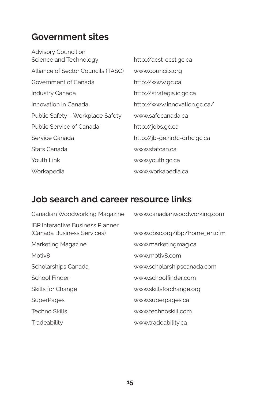### **Government sites**

Advisory Council on Science and Technology http://acst-ccst.gc.ca Alliance of Sector Councils (TASC) www.councils.org Government of Canada http://www.gc.ca Industry Canada http://strategis.ic.gc.ca Innovation in Canada http://www.innovation.gc.ca/ Public Safety – Workplace Safety www.safecanada.ca Public Service of Canada http://jobs.gc.ca Service Canada http://jb-ge.hrdc-drhc.gc.ca Stats Canada www.statcan.ca Youth Link www.youth.gc.ca

Workapedia www.workapedia.ca

### **Job search and career resource links**

| Canadian Woodworking Magazine                                         | www.canadianwoodworking.com  |
|-----------------------------------------------------------------------|------------------------------|
| <b>IBP Interactive Business Planner</b><br>(Canada Business Services) | www.cbsc.org/ibp/home_en.cfm |
| Marketing Magazine                                                    | www.marketingmag.ca          |
| Motiv <sub>8</sub>                                                    | www.motiv8.com               |
| Scholarships Canada                                                   | www.scholarshipscanada.com   |
| School Finder                                                         | www.schoolfinder.com         |
| Skills for Change                                                     | www.skillsforchange.org      |
| <b>SuperPages</b>                                                     | www.superpages.ca            |
| <b>Techno Skills</b>                                                  | www.technoskill.com          |
| Tradeability                                                          | www.tradeability.ca          |